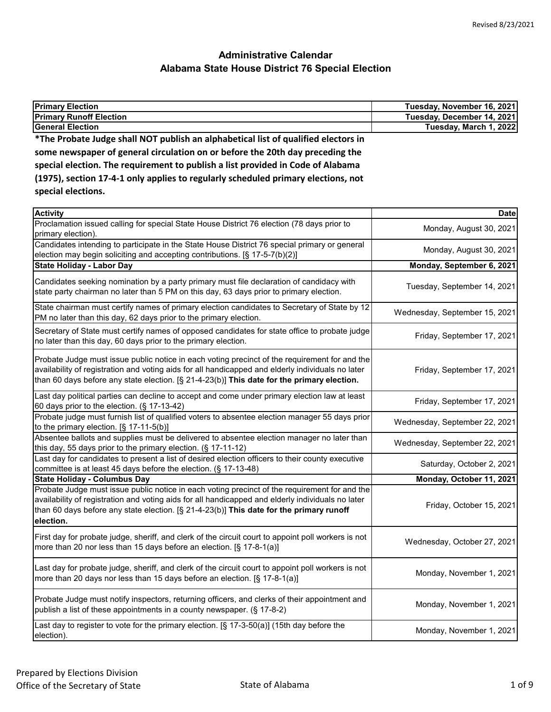| <b>Primary Election</b>                                                            | Tuesday, November 16, 2021 |
|------------------------------------------------------------------------------------|----------------------------|
| <b>Primary Runoff Election</b>                                                     | Tuesday, December 14, 2021 |
| <b>General Election</b>                                                            | Tuesday, March 1, 2022     |
| *The Probate Judge shall NOT publish an alphabetical list of qualified electors in |                            |
| some newspaper of general circulation on or before the 20th day preceding the      |                            |
| special election. The requirement to publish a list provided in Code of Alabama    |                            |
|                                                                                    |                            |

| (1975), section 17-4-1 only applies to regularly scheduled primary elections, not |
|-----------------------------------------------------------------------------------|
| special elections.                                                                |

| <b>Activity</b>                                                                                                                                                                                                                                                                                            | <b>Date</b>                   |
|------------------------------------------------------------------------------------------------------------------------------------------------------------------------------------------------------------------------------------------------------------------------------------------------------------|-------------------------------|
| Proclamation issued calling for special State House District 76 election (78 days prior to<br>primary election).                                                                                                                                                                                           | Monday, August 30, 2021       |
| Candidates intending to participate in the State House District 76 special primary or general<br>election may begin soliciting and accepting contributions. [§ 17-5-7(b)(2)]                                                                                                                               | Monday, August 30, 2021       |
| <b>State Holiday - Labor Day</b>                                                                                                                                                                                                                                                                           | Monday, September 6, 2021     |
| Candidates seeking nomination by a party primary must file declaration of candidacy with<br>state party chairman no later than 5 PM on this day, 63 days prior to primary election.                                                                                                                        | Tuesday, September 14, 2021   |
| State chairman must certify names of primary election candidates to Secretary of State by 12<br>PM no later than this day, 62 days prior to the primary election.                                                                                                                                          | Wednesday, September 15, 2021 |
| Secretary of State must certify names of opposed candidates for state office to probate judge<br>no later than this day, 60 days prior to the primary election.                                                                                                                                            | Friday, September 17, 2021    |
| Probate Judge must issue public notice in each voting precinct of the requirement for and the<br>availability of registration and voting aids for all handicapped and elderly individuals no later<br>than 60 days before any state election. [§ 21-4-23(b)] This date for the primary election.           | Friday, September 17, 2021    |
| Last day political parties can decline to accept and come under primary election law at least<br>60 days prior to the election. (§ 17-13-42)                                                                                                                                                               | Friday, September 17, 2021    |
| Probate judge must furnish list of qualified voters to absentee election manager 55 days prior<br>to the primary election. $[\S 17-11-5(b)]$                                                                                                                                                               | Wednesday, September 22, 2021 |
| Absentee ballots and supplies must be delivered to absentee election manager no later than<br>this day, 55 days prior to the primary election. (§ 17-11-12)                                                                                                                                                | Wednesday, September 22, 2021 |
| Last day for candidates to present a list of desired election officers to their county executive<br>committee is at least 45 days before the election. (§ 17-13-48)                                                                                                                                        | Saturday, October 2, 2021     |
| <b>State Holiday - Columbus Day</b>                                                                                                                                                                                                                                                                        | Monday, October 11, 2021      |
| Probate Judge must issue public notice in each voting precinct of the requirement for and the<br>availability of registration and voting aids for all handicapped and elderly individuals no later<br>than 60 days before any state election. [§ 21-4-23(b)] This date for the primary runoff<br>election. | Friday, October 15, 2021      |
| First day for probate judge, sheriff, and clerk of the circuit court to appoint poll workers is not<br>more than 20 nor less than 15 days before an election. [§ 17-8-1(a)]                                                                                                                                | Wednesday, October 27, 2021   |
| Last day for probate judge, sheriff, and clerk of the circuit court to appoint poll workers is not<br>more than 20 days nor less than 15 days before an election. [§ 17-8-1(a)]                                                                                                                            | Monday, November 1, 2021      |
| Probate Judge must notify inspectors, returning officers, and clerks of their appointment and<br>publish a list of these appointments in a county newspaper. (§ 17-8-2)                                                                                                                                    | Monday, November 1, 2021      |
| Last day to register to vote for the primary election. [§ 17-3-50(a)] (15th day before the<br>election).                                                                                                                                                                                                   | Monday, November 1, 2021      |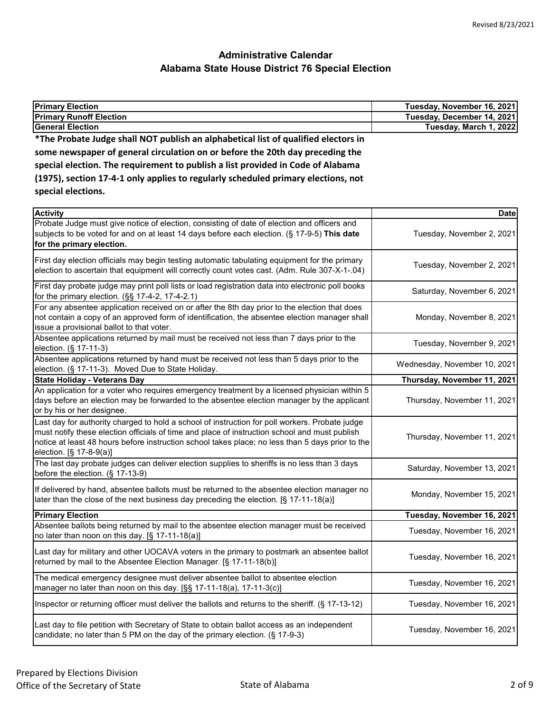| <b>Primary Election</b>                                                            | Tuesday, November 16, 2021 |
|------------------------------------------------------------------------------------|----------------------------|
| <b>Primary Runoff Election</b>                                                     | Tuesday, December 14, 2021 |
| <b>General Election</b>                                                            | Tuesday, March 1, 2022     |
| *The Probate Judge shall NOT publish an alphabetical list of qualified electors in |                            |
| some newspaper of general circulation on or before the 20th day preceding the      |                            |
| special election. The requirement to publish a list provided in Code of Alabama    |                            |
| (1975), section 17-4-1 only applies to regularly scheduled primary elections, not  |                            |
| special elections.                                                                 |                            |
| <b>Activity</b>                                                                    | <b>Date</b>                |

| ACTIVITY                                                                                                                                                                                                                                                                                                                       | Date                         |
|--------------------------------------------------------------------------------------------------------------------------------------------------------------------------------------------------------------------------------------------------------------------------------------------------------------------------------|------------------------------|
| Probate Judge must give notice of election, consisting of date of election and officers and<br>subjects to be voted for and on at least 14 days before each election. (§ 17-9-5) This date<br>for the primary election.                                                                                                        | Tuesday, November 2, 2021    |
| First day election officials may begin testing automatic tabulating equipment for the primary<br>election to ascertain that equipment will correctly count votes cast. (Adm. Rule 307-X-1-.04)                                                                                                                                 | Tuesday, November 2, 2021    |
| First day probate judge may print poll lists or load registration data into electronic poll books<br>for the primary election. (§§ 17-4-2, 17-4-2.1)                                                                                                                                                                           | Saturday, November 6, 2021   |
| For any absentee application received on or after the 8th day prior to the election that does<br>not contain a copy of an approved form of identification, the absentee election manager shall<br>issue a provisional ballot to that voter.                                                                                    | Monday, November 8, 2021     |
| Absentee applications returned by mail must be received not less than 7 days prior to the<br>election. (§ 17-11-3)                                                                                                                                                                                                             | Tuesday, November 9, 2021    |
| Absentee applications returned by hand must be received not less than 5 days prior to the<br>election. (§ 17-11-3). Moved Due to State Holiday.                                                                                                                                                                                | Wednesday, November 10, 2021 |
| <b>State Holiday - Veterans Day</b>                                                                                                                                                                                                                                                                                            | Thursday, November 11, 2021  |
| An application for a voter who requires emergency treatment by a licensed physician within 5<br>days before an election may be forwarded to the absentee election manager by the applicant<br>or by his or her designee.                                                                                                       | Thursday, November 11, 2021  |
| Last day for authority charged to hold a school of instruction for poll workers. Probate judge<br>must notify these election officials of time and place of instruction school and must publish<br>notice at least 48 hours before instruction school takes place; no less than 5 days prior to the<br>election. [§ 17-8-9(a)] | Thursday, November 11, 2021  |
| The last day probate judges can deliver election supplies to sheriffs is no less than 3 days<br>before the election. (§ 17-13-9)                                                                                                                                                                                               | Saturday, November 13, 2021  |
| If delivered by hand, absentee ballots must be returned to the absentee election manager no<br>later than the close of the next business day preceding the election. [§ 17-11-18(a)]                                                                                                                                           | Monday, November 15, 2021    |
| <b>Primary Election</b>                                                                                                                                                                                                                                                                                                        | Tuesday, November 16, 2021   |
| Absentee ballots being returned by mail to the absentee election manager must be received<br>no later than noon on this day. [§ 17-11-18(a)]                                                                                                                                                                                   | Tuesday, November 16, 2021   |
| Last day for military and other UOCAVA voters in the primary to postmark an absentee ballot<br>returned by mail to the Absentee Election Manager. [§ 17-11-18(b)]                                                                                                                                                              | Tuesday, November 16, 2021   |
| The medical emergency designee must deliver absentee ballot to absentee election<br>manager no later than noon on this day. [§§ 17-11-18(a), 17-11-3(c)]                                                                                                                                                                       | Tuesday, November 16, 2021   |
| Inspector or returning officer must deliver the ballots and returns to the sheriff. (§ 17-13-12)                                                                                                                                                                                                                               | Tuesday, November 16, 2021   |
| Last day to file petition with Secretary of State to obtain ballot access as an independent<br>candidate; no later than 5 PM on the day of the primary election. (§ 17-9-3)                                                                                                                                                    | Tuesday, November 16, 2021   |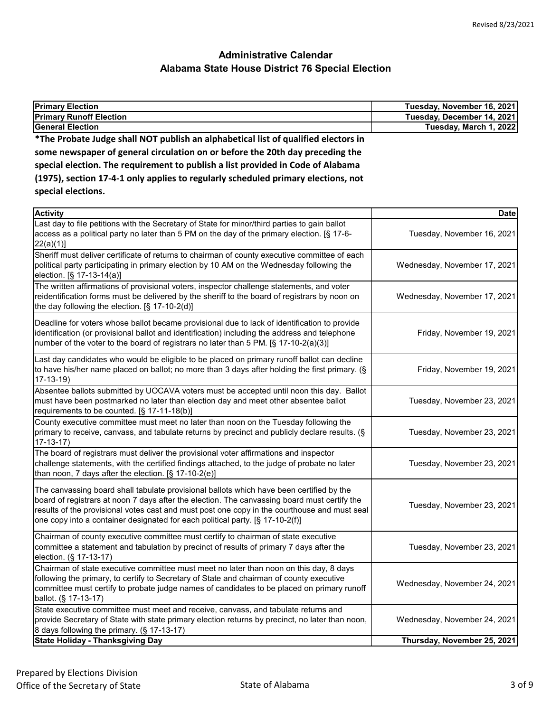| <b>Primary Election</b>                                                            | Tuesday, November 16, 2021 |
|------------------------------------------------------------------------------------|----------------------------|
| <b>Primary Runoff Election</b>                                                     | Tuesday, December 14, 2021 |
| <b>General Election</b>                                                            | Tuesday, March 1, 2022     |
| *The Probate Judge shall NOT publish an alphabetical list of qualified electors in |                            |
| some newspaper of general circulation on or before the 20th day preceding the      |                            |
| special election. The requirement to publish a list provided in Code of Alabama    |                            |
| (1975), section 17-4-1 only applies to regularly scheduled primary elections, not  |                            |
| special elections.                                                                 |                            |
|                                                                                    |                            |

| <b>Activity</b>                                                                                                                                                                                                                                                                                                                                                           | Date                         |
|---------------------------------------------------------------------------------------------------------------------------------------------------------------------------------------------------------------------------------------------------------------------------------------------------------------------------------------------------------------------------|------------------------------|
| Last day to file petitions with the Secretary of State for minor/third parties to gain ballot<br>access as a political party no later than 5 PM on the day of the primary election. [§ 17-6-<br>22(a)(1)]                                                                                                                                                                 | Tuesday, November 16, 2021   |
| Sheriff must deliver certificate of returns to chairman of county executive committee of each<br>political party participating in primary election by 10 AM on the Wednesday following the<br>election. [§ 17-13-14(a)]                                                                                                                                                   | Wednesday, November 17, 2021 |
| The written affirmations of provisional voters, inspector challenge statements, and voter<br>reidentification forms must be delivered by the sheriff to the board of registrars by noon on<br>the day following the election. [§ 17-10-2(d)]                                                                                                                              | Wednesday, November 17, 2021 |
| Deadline for voters whose ballot became provisional due to lack of identification to provide<br>identification (or provisional ballot and identification) including the address and telephone<br>number of the voter to the board of registrars no later than 5 PM. [§ 17-10-2(a)(3)]                                                                                     | Friday, November 19, 2021    |
| Last day candidates who would be eligible to be placed on primary runoff ballot can decline<br>to have his/her name placed on ballot; no more than 3 days after holding the first primary. (§<br>$17-13-19$                                                                                                                                                               | Friday, November 19, 2021    |
| Absentee ballots submitted by UOCAVA voters must be accepted until noon this day. Ballot<br>must have been postmarked no later than election day and meet other absentee ballot<br>requirements to be counted. [§ 17-11-18(b)]                                                                                                                                            | Tuesday, November 23, 2021   |
| County executive committee must meet no later than noon on the Tuesday following the<br>primary to receive, canvass, and tabulate returns by precinct and publicly declare results. (§<br>$17-13-17)$                                                                                                                                                                     | Tuesday, November 23, 2021   |
| The board of registrars must deliver the provisional voter affirmations and inspector<br>challenge statements, with the certified findings attached, to the judge of probate no later<br>than noon, 7 days after the election. [§ 17-10-2(e)]                                                                                                                             | Tuesday, November 23, 2021   |
| The canvassing board shall tabulate provisional ballots which have been certified by the<br>board of registrars at noon 7 days after the election. The canvassing board must certify the<br>results of the provisional votes cast and must post one copy in the courthouse and must seal<br>one copy into a container designated for each political party. [§ 17-10-2(f)] | Tuesday, November 23, 2021   |
| Chairman of county executive committee must certify to chairman of state executive<br>committee a statement and tabulation by precinct of results of primary 7 days after the<br>election. (§ 17-13-17)                                                                                                                                                                   | Tuesday, November 23, 2021   |
| Chairman of state executive committee must meet no later than noon on this day, 8 days<br>following the primary, to certify to Secretary of State and chairman of county executive<br>committee must certify to probate judge names of candidates to be placed on primary runoff<br>ballot. (§ 17-13-17)                                                                  | Wednesday, November 24, 2021 |
| State executive committee must meet and receive, canvass, and tabulate returns and<br>provide Secretary of State with state primary election returns by precinct, no later than noon,<br>8 days following the primary. (§ 17-13-17)                                                                                                                                       | Wednesday, November 24, 2021 |
| <b>State Holiday - Thanksgiving Day</b>                                                                                                                                                                                                                                                                                                                                   | Thursday, November 25, 2021  |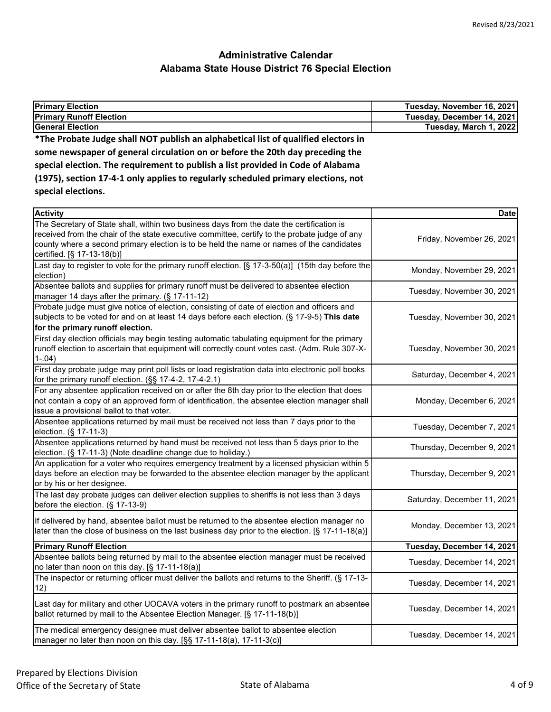| Tuesday, November 16, 2021 |
|----------------------------|
| Tuesday, December 14, 2021 |
| Tuesday, March 1, 2022     |
|                            |
|                            |
|                            |
|                            |
|                            |
|                            |

| <b>Activity</b>                                                                                                                                                                                                                                                                                                      | <b>Date</b>                 |
|----------------------------------------------------------------------------------------------------------------------------------------------------------------------------------------------------------------------------------------------------------------------------------------------------------------------|-----------------------------|
| The Secretary of State shall, within two business days from the date the certification is<br>received from the chair of the state executive committee, certify to the probate judge of any<br>county where a second primary election is to be held the name or names of the candidates<br>certified. [§ 17-13-18(b)] | Friday, November 26, 2021   |
| Last day to register to vote for the primary runoff election. [§ 17-3-50(a)] (15th day before the<br>election)                                                                                                                                                                                                       | Monday, November 29, 2021   |
| Absentee ballots and supplies for primary runoff must be delivered to absentee election<br>manager 14 days after the primary. (§ 17-11-12)                                                                                                                                                                           | Tuesday, November 30, 2021  |
| Probate judge must give notice of election, consisting of date of election and officers and<br>subjects to be voted for and on at least 14 days before each election. (§ 17-9-5) This date<br>for the primary runoff election.                                                                                       | Tuesday, November 30, 2021  |
| First day election officials may begin testing automatic tabulating equipment for the primary<br>runoff election to ascertain that equipment will correctly count votes cast. (Adm. Rule 307-X-<br>$1-.04)$                                                                                                          | Tuesday, November 30, 2021  |
| First day probate judge may print poll lists or load registration data into electronic poll books<br>for the primary runoff election. (§§ 17-4-2, 17-4-2.1)                                                                                                                                                          | Saturday, December 4, 2021  |
| For any absentee application received on or after the 8th day prior to the election that does<br>not contain a copy of an approved form of identification, the absentee election manager shall<br>issue a provisional ballot to that voter.                                                                          | Monday, December 6, 2021    |
| Absentee applications returned by mail must be received not less than 7 days prior to the<br>election. (§ 17-11-3)                                                                                                                                                                                                   | Tuesday, December 7, 2021   |
| Absentee applications returned by hand must be received not less than 5 days prior to the<br>election. (§ 17-11-3) (Note deadline change due to holiday.)                                                                                                                                                            | Thursday, December 9, 2021  |
| An application for a voter who requires emergency treatment by a licensed physician within 5<br>days before an election may be forwarded to the absentee election manager by the applicant<br>or by his or her designee.                                                                                             | Thursday, December 9, 2021  |
| The last day probate judges can deliver election supplies to sheriffs is not less than 3 days<br>before the election. (§ 17-13-9)                                                                                                                                                                                    | Saturday, December 11, 2021 |
| If delivered by hand, absentee ballot must be returned to the absentee election manager no<br>later than the close of business on the last business day prior to the election. [§ 17-11-18(a)]                                                                                                                       | Monday, December 13, 2021   |
| <b>Primary Runoff Election</b>                                                                                                                                                                                                                                                                                       | Tuesday, December 14, 2021  |
| Absentee ballots being returned by mail to the absentee election manager must be received<br>no later than noon on this day. [§ 17-11-18(a)]                                                                                                                                                                         | Tuesday, December 14, 2021  |
| The inspector or returning officer must deliver the ballots and returns to the Sheriff. (§ 17-13-<br>12)                                                                                                                                                                                                             | Tuesday, December 14, 2021  |
| Last day for military and other UOCAVA voters in the primary runoff to postmark an absentee<br>ballot returned by mail to the Absentee Election Manager. [§ 17-11-18(b)]                                                                                                                                             | Tuesday, December 14, 2021  |
| The medical emergency designee must deliver absentee ballot to absentee election<br>manager no later than noon on this day. [§§ 17-11-18(a), 17-11-3(c)]                                                                                                                                                             | Tuesday, December 14, 2021  |
|                                                                                                                                                                                                                                                                                                                      |                             |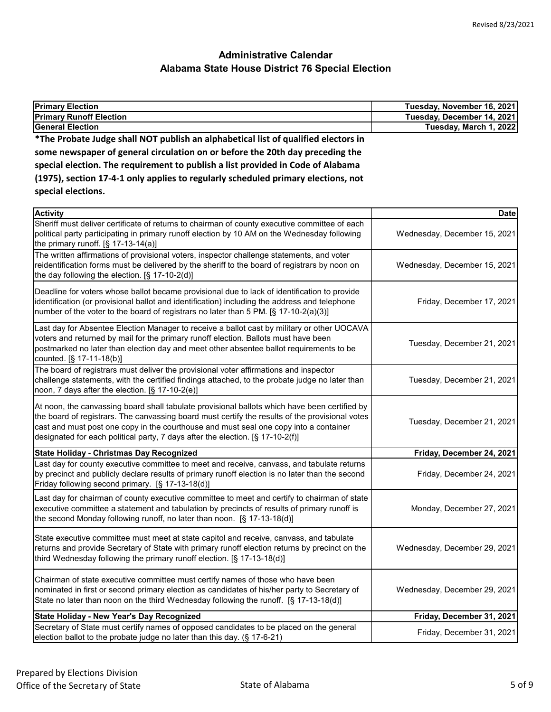| <b>Primary Election</b>                                                                                                                                                                                                                                                                                                                                                     | Tuesday, November 16, 2021   |
|-----------------------------------------------------------------------------------------------------------------------------------------------------------------------------------------------------------------------------------------------------------------------------------------------------------------------------------------------------------------------------|------------------------------|
| <b>Primary Runoff Election</b>                                                                                                                                                                                                                                                                                                                                              | Tuesday, December 14, 2021   |
| <b>General Election</b>                                                                                                                                                                                                                                                                                                                                                     | Tuesday, March 1, 2022       |
| *The Probate Judge shall NOT publish an alphabetical list of qualified electors in                                                                                                                                                                                                                                                                                          |                              |
| some newspaper of general circulation on or before the 20th day preceding the                                                                                                                                                                                                                                                                                               |                              |
| special election. The requirement to publish a list provided in Code of Alabama                                                                                                                                                                                                                                                                                             |                              |
| (1975), section 17-4-1 only applies to regularly scheduled primary elections, not                                                                                                                                                                                                                                                                                           |                              |
| special elections.                                                                                                                                                                                                                                                                                                                                                          |                              |
|                                                                                                                                                                                                                                                                                                                                                                             |                              |
| <b>Activity</b>                                                                                                                                                                                                                                                                                                                                                             | <b>Date</b>                  |
| Sheriff must deliver certificate of returns to chairman of county executive committee of each<br>political party participating in primary runoff election by 10 AM on the Wednesday following<br>the primary runoff. $[§ 17-13-14(a)]$                                                                                                                                      | Wednesday, December 15, 2021 |
| The written affirmations of provisional voters, inspector challenge statements, and voter<br>reidentification forms must be delivered by the sheriff to the board of registrars by noon on<br>the day following the election. [§ 17-10-2(d)]                                                                                                                                | Wednesday, December 15, 2021 |
| Deadline for voters whose ballot became provisional due to lack of identification to provide<br>identification (or provisional ballot and identification) including the address and telephone<br>number of the voter to the board of registrars no later than 5 PM. [§ 17-10-2(a)(3)]                                                                                       | Friday, December 17, 2021    |
| Last day for Absentee Election Manager to receive a ballot cast by military or other UOCAVA<br>voters and returned by mail for the primary runoff election. Ballots must have been<br>postmarked no later than election day and meet other absentee ballot requirements to be<br>counted. [§ 17-11-18(b)]                                                                   | Tuesday, December 21, 2021   |
| The board of registrars must deliver the provisional voter affirmations and inspector<br>challenge statements, with the certified findings attached, to the probate judge no later than<br>noon, 7 days after the election. [§ 17-10-2(e)]                                                                                                                                  | Tuesday, December 21, 2021   |
| At noon, the canvassing board shall tabulate provisional ballots which have been certified by<br>the board of registrars. The canvassing board must certify the results of the provisional votes<br>cast and must post one copy in the courthouse and must seal one copy into a container<br>designated for each political party, 7 days after the election. [§ 17-10-2(f)] | Tuesday, December 21, 2021   |
| State Holiday - Christmas Day Recognized                                                                                                                                                                                                                                                                                                                                    | Friday, December 24, 2021    |
| Last day for county executive committee to meet and receive, canvass, and tabulate returns<br>by precinct and publicly declare results of primary runoff election is no later than the second<br>Friday following second primary. [§ 17-13-18(d)]                                                                                                                           | Friday, December 24, 2021    |
| Last day for chairman of county executive committee to meet and certify to chairman of state<br>executive committee a statement and tabulation by precincts of results of primary runoff is<br>the second Monday following runoff, no later than noon. [§ 17-13-18(d)]                                                                                                      | Monday, December 27, 2021    |
| State executive committee must meet at state capitol and receive, canvass, and tabulate<br>returns and provide Secretary of State with primary runoff election returns by precinct on the<br>third Wednesday following the primary runoff election. [§ 17-13-18(d)]                                                                                                         | Wednesday, December 29, 2021 |
| Chairman of state executive committee must certify names of those who have been<br>nominated in first or second primary election as candidates of his/her party to Secretary of<br>State no later than noon on the third Wednesday following the runoff. [§ 17-13-18(d)]                                                                                                    | Wednesday, December 29, 2021 |
| <b>State Holiday - New Year's Day Recognized</b>                                                                                                                                                                                                                                                                                                                            | Friday, December 31, 2021    |
| Secretary of State must certify names of opposed candidates to be placed on the general<br>election ballot to the probate judge no later than this day. (§ 17-6-21)                                                                                                                                                                                                         | Friday, December 31, 2021    |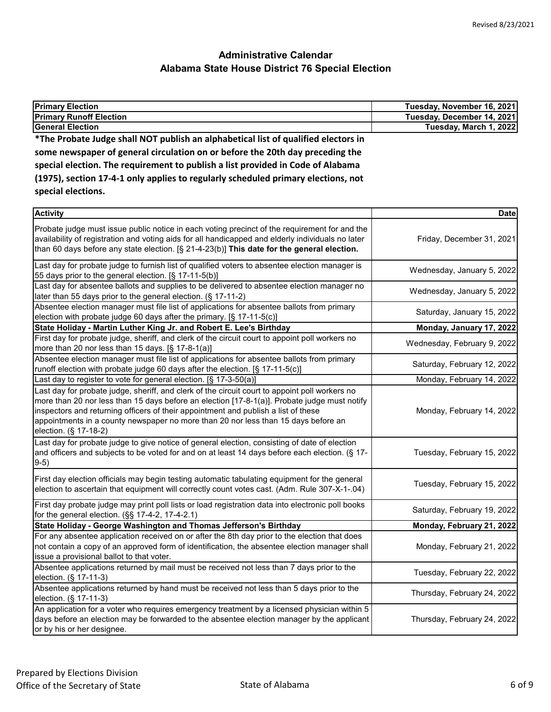| <b>Primary Election</b>                                                            | Tuesday, November 16, 2021 |
|------------------------------------------------------------------------------------|----------------------------|
| <b>Primary Runoff Election</b>                                                     | Tuesday, December 14, 2021 |
| <b>General Election</b>                                                            | Tuesday, March 1, 2022     |
| *The Probate Judge shall NOT publish an alphabetical list of qualified electors in |                            |
| some newspaper of general circulation on or before the 20th day preceding the      |                            |
| special election. The requirement to publish a list provided in Code of Alabama    |                            |
| (1975), section 17-4-1 only applies to regularly scheduled primary elections, not  |                            |
| special elections.                                                                 |                            |
|                                                                                    |                            |

| <b>Activity</b>                                                                                                                                                                                                                                                                                                                                                                                     | <b>Date</b>                 |
|-----------------------------------------------------------------------------------------------------------------------------------------------------------------------------------------------------------------------------------------------------------------------------------------------------------------------------------------------------------------------------------------------------|-----------------------------|
| Probate judge must issue public notice in each voting precinct of the requirement for and the<br>availability of registration and voting aids for all handicapped and elderly individuals no later<br>than 60 days before any state election. $\S$ 21-4-23(b)] This date for the general election.                                                                                                  | Friday, December 31, 2021   |
| Last day for probate judge to furnish list of qualified voters to absentee election manager is<br>55 days prior to the general election. [§ 17-11-5(b)]                                                                                                                                                                                                                                             | Wednesday, January 5, 2022  |
| Last day for absentee ballots and supplies to be delivered to absentee election manager no<br>later than 55 days prior to the general election. (§ 17-11-2)                                                                                                                                                                                                                                         | Wednesday, January 5, 2022  |
| Absentee election manager must file list of applications for absentee ballots from primary<br>election with probate judge 60 days after the primary. [§ 17-11-5(c)]                                                                                                                                                                                                                                 | Saturday, January 15, 2022  |
| State Holiday - Martin Luther King Jr. and Robert E. Lee's Birthday                                                                                                                                                                                                                                                                                                                                 | Monday, January 17, 2022    |
| First day for probate judge, sheriff, and clerk of the circuit court to appoint poll workers no<br>more than 20 nor less than 15 days. [§ 17-8-1(a)]                                                                                                                                                                                                                                                | Wednesday, February 9, 2022 |
| Absentee election manager must file list of applications for absentee ballots from primary<br>runoff election with probate judge 60 days after the election. [§ 17-11-5(c)]                                                                                                                                                                                                                         | Saturday, February 12, 2022 |
| Last day to register to vote for general election. [§ 17-3-50(a)]                                                                                                                                                                                                                                                                                                                                   | Monday, February 14, 2022   |
| Last day for probate judge, sheriff, and clerk of the circuit court to appoint poll workers no<br>more than 20 nor less than 15 days before an election [17-8-1(a)]. Probate judge must notify<br>inspectors and returning officers of their appointment and publish a list of these<br>appointments in a county newspaper no more than 20 nor less than 15 days before an<br>election. (§ 17-18-2) | Monday, February 14, 2022   |
| Last day for probate judge to give notice of general election, consisting of date of election<br>and officers and subjects to be voted for and on at least 14 days before each election. (§ 17-<br>$9-5)$                                                                                                                                                                                           | Tuesday, February 15, 2022  |
| First day election officials may begin testing automatic tabulating equipment for the general<br>election to ascertain that equipment will correctly count votes cast. (Adm. Rule 307-X-1-.04)                                                                                                                                                                                                      | Tuesday, February 15, 2022  |
| First day probate judge may print poll lists or load registration data into electronic poll books<br>for the general election. (§§ 17-4-2, 17-4-2.1)                                                                                                                                                                                                                                                | Saturday, February 19, 2022 |
| State Holiday - George Washington and Thomas Jefferson's Birthday                                                                                                                                                                                                                                                                                                                                   | Monday, February 21, 2022   |
| For any absentee application received on or after the 8th day prior to the election that does<br>not contain a copy of an approved form of identification, the absentee election manager shall<br>issue a provisional ballot to that voter.                                                                                                                                                         | Monday, February 21, 2022   |
| Absentee applications returned by mail must be received not less than 7 days prior to the<br>election. (§ 17-11-3)                                                                                                                                                                                                                                                                                  | Tuesday, February 22, 2022  |
| Absentee applications returned by hand must be received not less than 5 days prior to the<br>election. (§ 17-11-3)                                                                                                                                                                                                                                                                                  | Thursday, February 24, 2022 |
| An application for a voter who requires emergency treatment by a licensed physician within 5<br>days before an election may be forwarded to the absentee election manager by the applicant<br>or by his or her designee.                                                                                                                                                                            | Thursday, February 24, 2022 |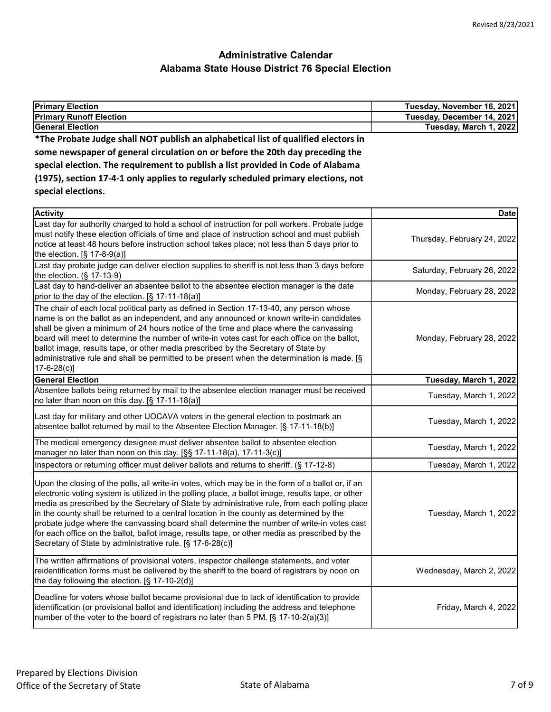| <b>Primary Election</b>                                                                                                                                          | Tuesday, November 16, 2021 |
|------------------------------------------------------------------------------------------------------------------------------------------------------------------|----------------------------|
| <b>Primary Runoff Election</b>                                                                                                                                   | Tuesday, December 14, 2021 |
| <b>General Election</b>                                                                                                                                          | Tuesday, March 1, 2022     |
| *The Probate Judge shall NOT publish an alphabetical list of qualified electors in                                                                               |                            |
| some newspaper of general circulation on or before the 20th day preceding the<br>special election. The requirement to publish a list provided in Code of Alabama |                            |
|                                                                                                                                                                  |                            |
| (1975), section 17-4-1 only applies to regularly scheduled primary elections, not                                                                                |                            |
| special elections.                                                                                                                                               |                            |
|                                                                                                                                                                  |                            |

| <b>Activity</b>                                                                                                                                                                                                                                                                                                                                                                                                                                                                                                                                                                                                                                                  | <b>Date</b>                 |
|------------------------------------------------------------------------------------------------------------------------------------------------------------------------------------------------------------------------------------------------------------------------------------------------------------------------------------------------------------------------------------------------------------------------------------------------------------------------------------------------------------------------------------------------------------------------------------------------------------------------------------------------------------------|-----------------------------|
| Last day for authority charged to hold a school of instruction for poll workers. Probate judge<br>must notify these election officials of time and place of instruction school and must publish<br>notice at least 48 hours before instruction school takes place; not less than 5 days prior to<br>the election. $[§ 17-8-9(a)]$                                                                                                                                                                                                                                                                                                                                | Thursday, February 24, 2022 |
| Last day probate judge can deliver election supplies to sheriff is not less than 3 days before<br>the election. (§ 17-13-9)                                                                                                                                                                                                                                                                                                                                                                                                                                                                                                                                      | Saturday, February 26, 2022 |
| Last day to hand-deliver an absentee ballot to the absentee election manager is the date<br>prior to the day of the election. [§ 17-11-18(a)]                                                                                                                                                                                                                                                                                                                                                                                                                                                                                                                    | Monday, February 28, 2022   |
| The chair of each local political party as defined in Section 17-13-40, any person whose<br>name is on the ballot as an independent, and any announced or known write-in candidates<br>shall be given a minimum of 24 hours notice of the time and place where the canvassing<br>board will meet to determine the number of write-in votes cast for each office on the ballot,<br>ballot image, results tape, or other media prescribed by the Secretary of State by<br>administrative rule and shall be permitted to be present when the determination is made. [§<br>$17 - 6 - 28(c)$                                                                          | Monday, February 28, 2022   |
| <b>General Election</b>                                                                                                                                                                                                                                                                                                                                                                                                                                                                                                                                                                                                                                          | Tuesday, March 1, 2022      |
| Absentee ballots being returned by mail to the absentee election manager must be received<br>no later than noon on this day. [§ 17-11-18(a)]                                                                                                                                                                                                                                                                                                                                                                                                                                                                                                                     | Tuesday, March 1, 2022      |
| Last day for military and other UOCAVA voters in the general election to postmark an<br>absentee ballot returned by mail to the Absentee Election Manager. [§ 17-11-18(b)]                                                                                                                                                                                                                                                                                                                                                                                                                                                                                       | Tuesday, March 1, 2022      |
| The medical emergency designee must deliver absentee ballot to absentee election<br>manager no later than noon on this day. [§§ 17-11-18(a), 17-11-3(c)]                                                                                                                                                                                                                                                                                                                                                                                                                                                                                                         | Tuesday, March 1, 2022      |
| Inspectors or returning officer must deliver ballots and returns to sheriff. (§ 17-12-8)                                                                                                                                                                                                                                                                                                                                                                                                                                                                                                                                                                         | Tuesday, March 1, 2022      |
| Upon the closing of the polls, all write-in votes, which may be in the form of a ballot or, if an<br>electronic voting system is utilized in the polling place, a ballot image, results tape, or other<br>media as prescribed by the Secretary of State by administrative rule, from each polling place<br>in the county shall be returned to a central location in the county as determined by the<br>probate judge where the canvassing board shall determine the number of write-in votes cast<br>for each office on the ballot, ballot image, results tape, or other media as prescribed by the<br>Secretary of State by administrative rule. [§ 17-6-28(c)] | Tuesday, March 1, 2022      |
| The written affirmations of provisional voters, inspector challenge statements, and voter<br>reidentification forms must be delivered by the sheriff to the board of registrars by noon on<br>the day following the election. [§ 17-10-2(d)]                                                                                                                                                                                                                                                                                                                                                                                                                     | Wednesday, March 2, 2022    |
| Deadline for voters whose ballot became provisional due to lack of identification to provide<br>identification (or provisional ballot and identification) including the address and telephone<br>number of the voter to the board of registrars no later than 5 PM. [§ 17-10-2(a)(3)]                                                                                                                                                                                                                                                                                                                                                                            | Friday, March 4, 2022       |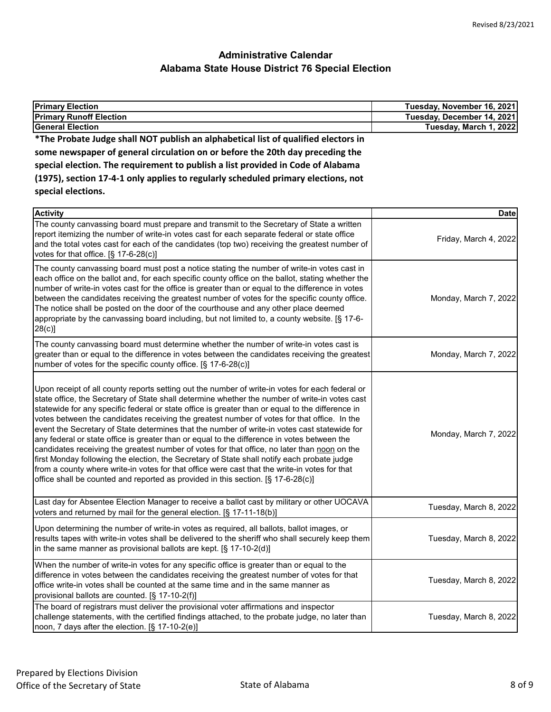| <b>Primary Election</b>                                                                                                                                                                                                                                                                                                                                                                                                                                                                                                                                                                                                                                                                                                                                                                                                                                                                                                                                                                 | Tuesday, November 16, 2021 |
|-----------------------------------------------------------------------------------------------------------------------------------------------------------------------------------------------------------------------------------------------------------------------------------------------------------------------------------------------------------------------------------------------------------------------------------------------------------------------------------------------------------------------------------------------------------------------------------------------------------------------------------------------------------------------------------------------------------------------------------------------------------------------------------------------------------------------------------------------------------------------------------------------------------------------------------------------------------------------------------------|----------------------------|
| <b>Primary Runoff Election</b>                                                                                                                                                                                                                                                                                                                                                                                                                                                                                                                                                                                                                                                                                                                                                                                                                                                                                                                                                          | Tuesday, December 14, 2021 |
| <b>General Election</b>                                                                                                                                                                                                                                                                                                                                                                                                                                                                                                                                                                                                                                                                                                                                                                                                                                                                                                                                                                 | Tuesday, March 1, 2022     |
| *The Probate Judge shall NOT publish an alphabetical list of qualified electors in                                                                                                                                                                                                                                                                                                                                                                                                                                                                                                                                                                                                                                                                                                                                                                                                                                                                                                      |                            |
| some newspaper of general circulation on or before the 20th day preceding the                                                                                                                                                                                                                                                                                                                                                                                                                                                                                                                                                                                                                                                                                                                                                                                                                                                                                                           |                            |
| special election. The requirement to publish a list provided in Code of Alabama                                                                                                                                                                                                                                                                                                                                                                                                                                                                                                                                                                                                                                                                                                                                                                                                                                                                                                         |                            |
| (1975), section 17-4-1 only applies to regularly scheduled primary elections, not                                                                                                                                                                                                                                                                                                                                                                                                                                                                                                                                                                                                                                                                                                                                                                                                                                                                                                       |                            |
| special elections.                                                                                                                                                                                                                                                                                                                                                                                                                                                                                                                                                                                                                                                                                                                                                                                                                                                                                                                                                                      |                            |
| <b>Activity</b>                                                                                                                                                                                                                                                                                                                                                                                                                                                                                                                                                                                                                                                                                                                                                                                                                                                                                                                                                                         | <b>Date</b>                |
| The county canvassing board must prepare and transmit to the Secretary of State a written<br>report itemizing the number of write-in votes cast for each separate federal or state office<br>and the total votes cast for each of the candidates (top two) receiving the greatest number of<br>votes for that office. $[§ 17-6-28(c)]$                                                                                                                                                                                                                                                                                                                                                                                                                                                                                                                                                                                                                                                  | Friday, March 4, 2022      |
| The county canvassing board must post a notice stating the number of write-in votes cast in<br>each office on the ballot and, for each specific county office on the ballot, stating whether the<br>number of write-in votes cast for the office is greater than or equal to the difference in votes<br>between the candidates receiving the greatest number of votes for the specific county office.<br>The notice shall be posted on the door of the courthouse and any other place deemed<br>appropriate by the canvassing board including, but not limited to, a county website. [§ 17-6-<br>28(c)                                                                                                                                                                                                                                                                                                                                                                                  | Monday, March 7, 2022      |
| The county canvassing board must determine whether the number of write-in votes cast is<br>greater than or equal to the difference in votes between the candidates receiving the greatest<br>number of votes for the specific county office. [§ 17-6-28(c)]                                                                                                                                                                                                                                                                                                                                                                                                                                                                                                                                                                                                                                                                                                                             | Monday, March 7, 2022      |
| Upon receipt of all county reports setting out the number of write-in votes for each federal or<br>state office, the Secretary of State shall determine whether the number of write-in votes cast<br>statewide for any specific federal or state office is greater than or equal to the difference in<br>votes between the candidates receiving the greatest number of votes for that office. In the<br>event the Secretary of State determines that the number of write-in votes cast statewide for<br>any federal or state office is greater than or equal to the difference in votes between the<br>candidates receiving the greatest number of votes for that office, no later than noon on the<br>first Monday following the election, the Secretary of State shall notify each probate judge<br>from a county where write-in votes for that office were cast that the write-in votes for that<br>office shall be counted and reported as provided in this section. [§ 17-6-28(c)] | Monday, March 7, 2022      |
| Last day for Absentee Election Manager to receive a ballot cast by military or other UOCAVA<br>voters and returned by mail for the general election. [§ 17-11-18(b)]                                                                                                                                                                                                                                                                                                                                                                                                                                                                                                                                                                                                                                                                                                                                                                                                                    | Tuesday, March 8, 2022     |
| Upon determining the number of write-in votes as required, all ballots, ballot images, or<br>results tapes with write-in votes shall be delivered to the sheriff who shall securely keep them<br>in the same manner as provisional ballots are kept. $[\S 17-10-2(d)]$                                                                                                                                                                                                                                                                                                                                                                                                                                                                                                                                                                                                                                                                                                                  | Tuesday, March 8, 2022     |
| When the number of write-in votes for any specific office is greater than or equal to the<br>difference in votes between the candidates receiving the greatest number of votes for that<br>office write-in votes shall be counted at the same time and in the same manner as<br>provisional ballots are counted. [§ 17-10-2(f)]                                                                                                                                                                                                                                                                                                                                                                                                                                                                                                                                                                                                                                                         | Tuesday, March 8, 2022     |
| The board of registrars must deliver the provisional voter affirmations and inspector<br>challenge statements, with the certified findings attached, to the probate judge, no later than<br>noon, 7 days after the election. [§ 17-10-2(e)]                                                                                                                                                                                                                                                                                                                                                                                                                                                                                                                                                                                                                                                                                                                                             | Tuesday, March 8, 2022     |